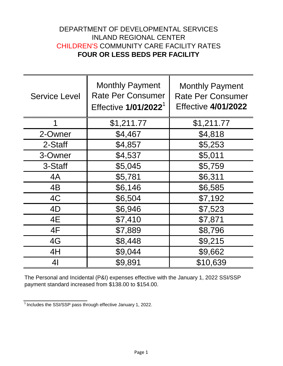## DEPARTMENT OF DEVELOPMENTAL SERVICES INLAND REGIONAL CENTER CHILDREN'S COMMUNITY CARE FACILITY RATES **FOUR OR LESS BEDS PER FACILITY**

| <b>Service Level</b> | <b>Monthly Payment</b><br><b>Rate Per Consumer</b><br>Effective 1/01/2022 <sup>1</sup> | <b>Monthly Payment</b><br><b>Rate Per Consumer</b><br><b>Effective 4/01/2022</b> |
|----------------------|----------------------------------------------------------------------------------------|----------------------------------------------------------------------------------|
| 1                    | \$1,211.77                                                                             | \$1,211.77                                                                       |
| 2-Owner              | \$4,467                                                                                | \$4,818                                                                          |
| 2-Staff              | \$4,857                                                                                | \$5,253                                                                          |
| 3-Owner              | \$4,537                                                                                | \$5,011                                                                          |
| 3-Staff              | \$5,045                                                                                | \$5,759                                                                          |
| 4A                   | \$5,781                                                                                | \$6,311                                                                          |
| 4B                   | \$6,146                                                                                | \$6,585                                                                          |
| 4C                   | \$6,504                                                                                | \$7,192                                                                          |
| 4D                   | \$6,946                                                                                | \$7,523                                                                          |
| 4E                   | \$7,410                                                                                | \$7,871                                                                          |
| 4F                   | \$7,889                                                                                | \$8,796                                                                          |
| 4G                   | \$8,448                                                                                | \$9,215                                                                          |
| 4H                   | \$9,044                                                                                | \$9,662                                                                          |
| 4 <sub>l</sub>       | \$9,891                                                                                | \$10,639                                                                         |

The Personal and Incidental (P&I) expenses effective with the January 1, 2022 SSI/SSP payment standard increased from \$138.00 to \$154.00.

 $\frac{1}{1}$  Includes the SSI/SSP pass through effective January 1, 2022.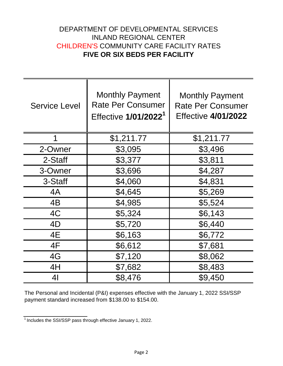## DEPARTMENT OF DEVELOPMENTAL SERVICES INLAND REGIONAL CENTER CHILDREN'S COMMUNITY CARE FACILITY RATES **FIVE OR SIX BEDS PER FACILITY**

| <b>Service Level</b> | <b>Monthly Payment</b><br><b>Rate Per Consumer</b><br>Effective 1/01/2022 <sup>1</sup> | <b>Monthly Payment</b><br><b>Rate Per Consumer</b><br><b>Effective 4/01/2022</b> |
|----------------------|----------------------------------------------------------------------------------------|----------------------------------------------------------------------------------|
| 1                    | \$1,211.77                                                                             | \$1,211.77                                                                       |
| 2-Owner              | \$3,095                                                                                | \$3,496                                                                          |
| 2-Staff              | \$3,377                                                                                | \$3,811                                                                          |
| 3-Owner              | \$3,696                                                                                | \$4,287                                                                          |
| 3-Staff              | \$4,060                                                                                | \$4,831                                                                          |
| 4A                   | \$4,645                                                                                | \$5,269                                                                          |
| 4B                   | \$4,985                                                                                | \$5,524                                                                          |
| 4C                   | \$5,324                                                                                | \$6,143                                                                          |
| 4D                   | \$5,720                                                                                | \$6,440                                                                          |
| 4E                   | \$6,163                                                                                | \$6,772                                                                          |
| 4F                   | \$6,612                                                                                | \$7,681                                                                          |
| 4G                   | \$7,120                                                                                | \$8,062                                                                          |
| 4H                   | \$7,682                                                                                | \$8,483                                                                          |
| 41                   | \$8,476                                                                                | \$9,450                                                                          |

The Personal and Incidental (P&I) expenses effective with the January 1, 2022 SSI/SSP payment standard increased from \$138.00 to \$154.00.

 $\frac{1}{1}$  Includes the SSI/SSP pass through effective January 1, 2022.